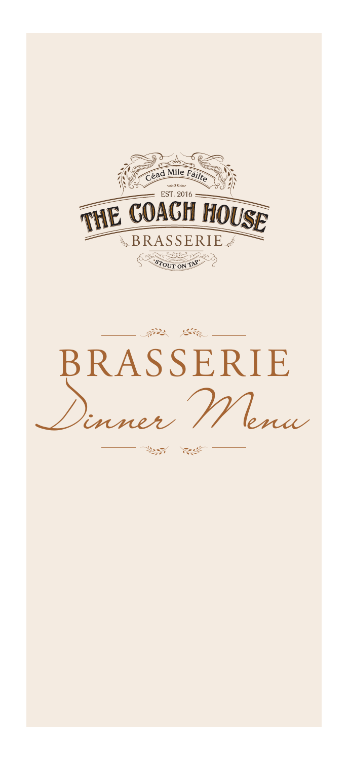

第三卷 BRASSERIE *Dinner Menu*

المجودية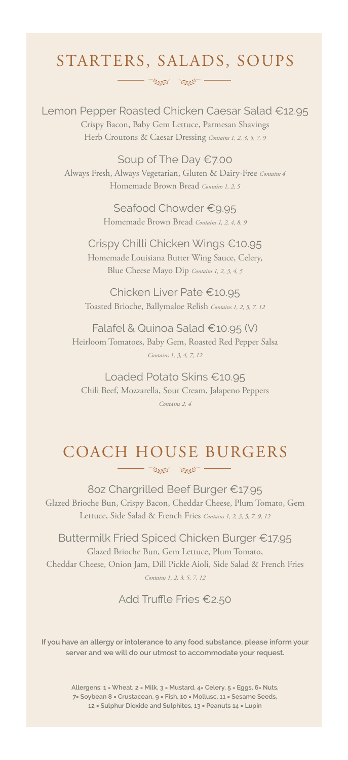### STARTERS, SALADS, SOUPS  $\frac{1}{\sqrt{2\pi}}$

Lemon Pepper Roasted Chicken Caesar Salad €12.95 Crispy Bacon, Baby Gem Lettuce, Parmesan Shavings Herb Croutons & Caesar Dressing *Contains 1, 2, 3, 5, 7, 9*

Soup of The Day €7.00 Always Fresh, Always Vegetarian, Gluten & Dairy-Free *Contains 4* Homemade Brown Bread *Contains 1, 2, 5*

> Seafood Chowder €9.95 Homemade Brown Bread *Contains 1, 2, 4, 8, 9*

Crispy Chilli Chicken Wings €10.95 Homemade Louisiana Butter Wing Sauce, Celery, Blue Cheese Mayo Dip *Contains 1, 2, 3, 4, 5*

Chicken Liver Pate €10.95 Toasted Brioche, Ballymaloe Relish *Contains 1, 2, 5, 7, 12*

Falafel & Quinoa Salad €10.95 (V) Heirloom Tomatoes, Baby Gem, Roasted Red Pepper Salsa *Contains 1, 3, 4, 7, 12*

Loaded Potato Skins €10.95 Chili Beef, Mozzarella, Sour Cream, Jalapeno Peppers *Contains 2, 4* 

## COACH HOUSE BURGERS

 $-35.66$ 

8oz Chargrilled Beef Burger €17.95 Glazed Brioche Bun, Crispy Bacon, Cheddar Cheese, Plum Tomato, Gem Lettuce, Side Salad & French Fries *Contains 1, 2, 3, 5, 7, 9, 12*

Buttermilk Fried Spiced Chicken Burger €17.95 Glazed Brioche Bun, Gem Lettuce, Plum Tomato, Cheddar Cheese, Onion Jam, Dill Pickle Aioli, Side Salad & French Fries *Contains 1, 2, 3, 5, 7, 12*

Add Truffle Fries €2.50

**If you have an allergy or intolerance to any food substance, please inform your server and we will do our utmost to accommodate your request.**

> **Allergens: 1 = Wheat, 2 = Milk, 3 = Mustard, 4= Celery, 5 = Eggs, 6= Nuts, 7= Soybean 8 = Crustacean, 9 = Fish, 10 = Mollusc, 11 = Sesame Seeds, 12 = Sulphur Dioxide and Sulphites, 13 = Peanuts 14 = Lupin**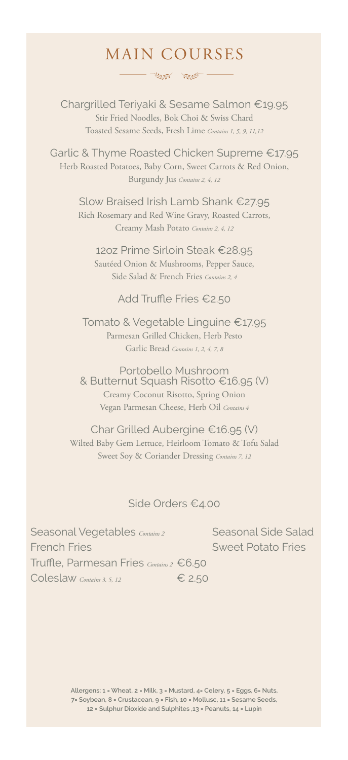## MAIN COURSES

 $-$  2007 - 1925 -

Chargrilled Teriyaki & Sesame Salmon €19.95 Stir Fried Noodles, Bok Choi & Swiss Chard Toasted Sesame Seeds, Fresh Lime *Contains 1, 5, 9, 11,12*

Garlic & Thyme Roasted Chicken Supreme €17.95 Herb Roasted Potatoes, Baby Corn, Sweet Carrots & Red Onion, Burgundy Jus *Contains 2, 4, 12*

> Slow Braised Irish Lamb Shank €27.95 Rich Rosemary and Red Wine Gravy, Roasted Carrots, Creamy Mash Potato *Contains 2, 4, 12*

12oz Prime Sirloin Steak €28.95 Sautéed Onion & Mushrooms, Pepper Sauce, Side Salad & French Fries *Contains 2, 4*

### Add Truffle Fries €2.50

Tomato & Vegetable Linguine €17.95 Parmesan Grilled Chicken, Herb Pesto Garlic Bread *Contains 1, 2, 4, 7, 8*

Portobello Mushroom & Butternut Squash Risotto €16.95 (V) Creamy Coconut Risotto, Spring Onion Vegan Parmesan Cheese, Herb Oil *Contains 4*

Char Grilled Aubergine €16.95 (V) Wilted Baby Gem Lettuce, Heirloom Tomato & Tofu Salad Sweet Soy & Coriander Dressing *Contains 7, 12*

#### Side Orders €4.00

Seasonal Vegetables *Contains 2* Seasonal Side Salad **French Fries Sweet Potato Fries** Truffle, Parmesan Fries *Contains 2* €6.50 Coleslaw *Contains 3. 5, 12* € 2.50

**Allergens: 1 = Wheat, 2 = Milk, 3 = Mustard, 4= Celery, 5 = Eggs, 6= Nuts, 7= Soybean, 8 = Crustacean, 9 = Fish, 10 = Mollusc, 11 = Sesame Seeds, 12 = Sulphur Dioxide and Sulphites ,13 = Peanuts, 14 = Lupin**